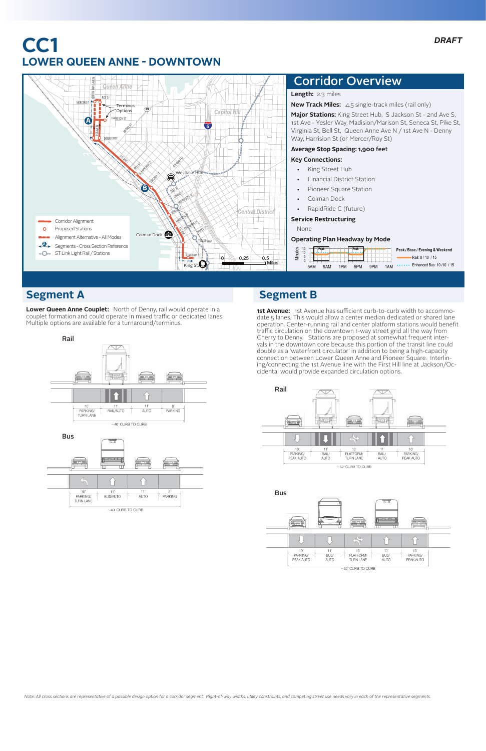**Lower Queen Anne Couplet:** North of Denny, rail would operate in a couplet formation and could operate in mixed traffic or dedicated lanes. Multiple options are available for a turnaround/terminus.

## **Segment A**

## **CC1 LOWER QUEEN ANNE - DOWNTOWN**

**1st Avenue:** 1st Avenue has sufficient curb-to-curb width to accommodate 5 lanes. This would allow a center median dedicated or shared lane operation. Center-running rail and center platform stations would benefit traffic circulation on the downtown 1-way street grid all the way from Cherry to Denny. Stations are proposed at somewhat frequent intervals in the downtown core because this portion of the transit line could double as a 'waterfront circulator' in addition to being a high-capacity connection between Lower Queen Anne and Pioneer Square. Interlining/connecting the 1st Avenue line with the First Hill line at Jackson/Occidental would provide expanded circulation options.





## **Segment B**





| rate.<br>PARKING/<br>PFAK ALITO | BUS/<br>AUTO | <b>START</b><br><b>STARTING</b><br>PLATFORM/<br>TURN LANE | <b>BUS</b><br><b>AUTO</b> | <b>Inches</b><br>PARKING/<br>PEAK AUTO |
|---------------------------------|--------------|-----------------------------------------------------------|---------------------------|----------------------------------------|
|                                 |              |                                                           |                           |                                        |

 $~\sim$ 52' CURB TO CURB

*Note: All cross sections are representative of a possible design option for a corridor segment. Right-of-way widths, utility constraints, and competing street use needs vary in each of the representative segments.*